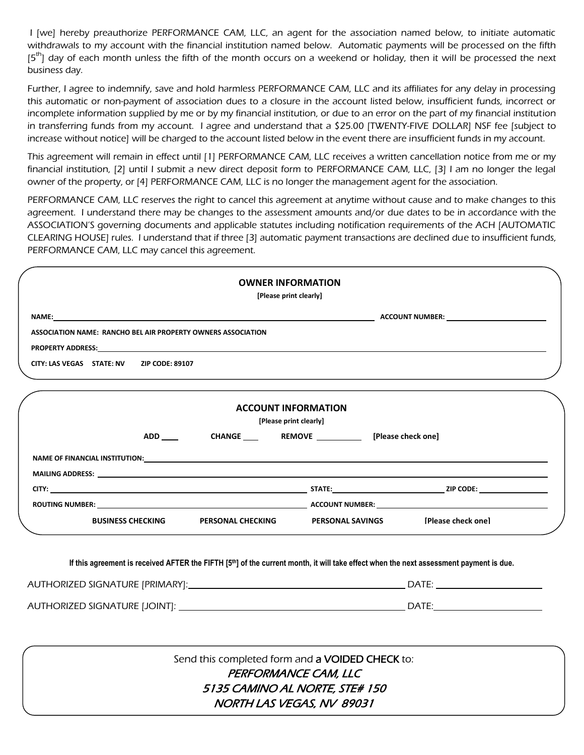I [we] hereby preauthorize PERFORMANCE CAM, LLC, an agent for the association named below, to initiate automatic withdrawals to my account with the financial institution named below. Automatic payments will be processed on the fifth  $[5<sup>th</sup>]$  day of each month unless the fifth of the month occurs on a weekend or holiday, then it will be processed the next business day.

Further, I agree to indemnify, save and hold harmless PERFORMANCE CAM, LLC and its affiliates for any delay in processing this automatic or non-payment of association dues to a closure in the account listed below, insufficient funds, incorrect or incomplete information supplied by me or by my financial institution, or due to an error on the part of my financial institution in transferring funds from my account. I agree and understand that a \$25.00 [TWENTY-FIVE DOLLAR] NSF fee [subject to increase without notice] will be charged to the account listed below in the event there are insufficient funds in my account.

This agreement will remain in effect until [1] PERFORMANCE CAM, LLC receives a written cancellation notice from me or my financial institution, [2] until I submit a new direct deposit form to PERFORMANCE CAM, LLC, [3] I am no longer the legal owner of the property, or [4] PERFORMANCE CAM, LLC is no longer the management agent for the association.

PERFORMANCE CAM, LLC reserves the right to cancel this agreement at anytime without cause and to make changes to this agreement. I understand there may be changes to the assessment amounts and/or due dates to be in accordance with the ASSOCIATION'S governing documents and applicable statutes including notification requirements of the ACH [AUTOMATIC CLEARING HOUSE] rules. I understand that if three [3] automatic payment transactions are declined due to insufficient funds, PERFORMANCE CAM, LLC may cancel this agreement.

|                                                                                                                                                     | <b>OWNER INFORMATION</b><br>[Please print clearly]   |                                                      |                    |
|-----------------------------------------------------------------------------------------------------------------------------------------------------|------------------------------------------------------|------------------------------------------------------|--------------------|
|                                                                                                                                                     |                                                      |                                                      |                    |
| ASSOCIATION NAME: RANCHO BEL AIR PROPERTY OWNERS ASSOCIATION                                                                                        |                                                      |                                                      |                    |
|                                                                                                                                                     |                                                      |                                                      |                    |
| CITY: LAS VEGAS STATE: NV ZIP CODE: 89107                                                                                                           |                                                      |                                                      |                    |
|                                                                                                                                                     | <b>ACCOUNT INFORMATION</b><br>[Please print clearly] |                                                      |                    |
|                                                                                                                                                     |                                                      |                                                      |                    |
|                                                                                                                                                     |                                                      |                                                      |                    |
|                                                                                                                                                     |                                                      |                                                      |                    |
| ROUTING NUMBER: NORTH STATES ACCOUNT NUMBER: ACCOUNT NUMBER:                                                                                        |                                                      |                                                      |                    |
|                                                                                                                                                     |                                                      | BUSINESS CHECKING PERSONAL CHECKING PERSONAL SAVINGS | [Please check one] |
| If this agreement is received AFTER the FIFTH [5 <sup>th</sup> ] of the current month, it will take effect when the next assessment payment is due. |                                                      |                                                      |                    |
|                                                                                                                                                     |                                                      |                                                      |                    |
|                                                                                                                                                     |                                                      | Send this completed form and a VOIDED CHECK to:      |                    |
|                                                                                                                                                     |                                                      | PERFORMANCE CAM, LLC                                 |                    |

5135 CAMINO AL NORTE, STE# 150 NORTH LAS VEGAS, NV 89031